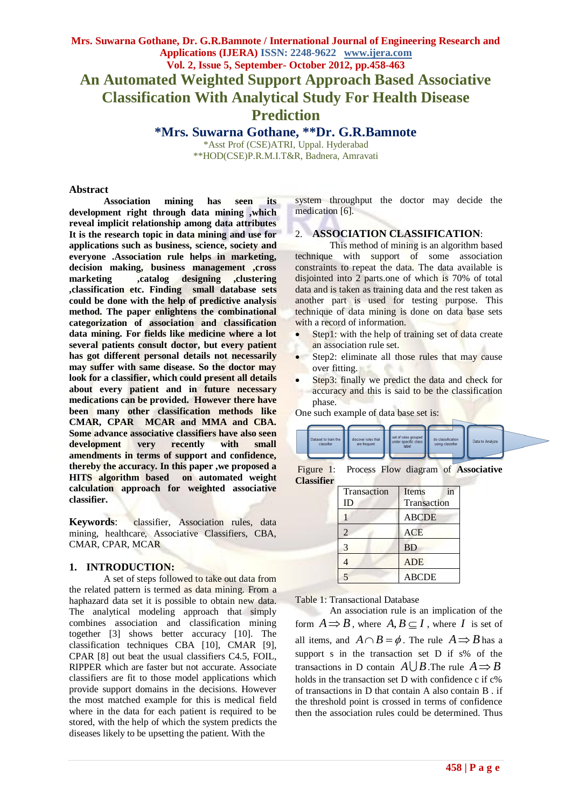# **Mrs. Suwarna Gothane, Dr. G.R.Bamnote / International Journal of Engineering Research and Applications (IJERA) ISSN: 2248-9622 www.ijera.com Vol. 2, Issue 5, September- October 2012, pp.458-463 An Automated Weighted Support Approach Based Associative Classification With Analytical Study For Health Disease Prediction**

**\*Mrs. Suwarna Gothane, \*\*Dr. G.R.Bamnote** \*Asst Prof (CSE)ATRI, Uppal. Hyderabad \*\*HOD(CSE)P.R.M.I.T&R, Badnera, Amravati

#### **Abstract**

**Association mining has seen its development right through data mining ,which reveal implicit relationship among data attributes It is the research topic in data mining and use for applications such as business, science, society and everyone .Association rule helps in marketing, decision making, business management ,cross marketing ,catalog designing ,clustering ,classification etc. Finding small database sets could be done with the help of predictive analysis method. The paper enlightens the combinational categorization of association and classification data mining. For fields like medicine where a lot several patients consult doctor, but every patient has got different personal details not necessarily may suffer with same disease. So the doctor may look for a classifier, which could present all details about every patient and in future necessary medications can be provided. However there have been many other classification methods like CMAR, CPAR MCAR and MMA and CBA. Some advance associative classifiers have also seen development very recently with small amendments in terms of support and confidence, thereby the accuracy. In this paper ,we proposed a HITS algorithm based on automated weight calculation approach for weighted associative classifier.**

**Keywords**: classifier, Association rules, data mining, healthcare, Associative Classifiers, CBA, CMAR, CPAR, MCAR

#### **1. INTRODUCTION:**

A set of steps followed to take out data from the related pattern is termed as data mining. From a haphazard data set it is possible to obtain new data. The analytical modeling approach that simply combines association and classification mining together [3] shows better accuracy [10]. The classification techniques CBA [10], CMAR [9], CPAR [8] out beat the usual classifiers C4.5, FOIL, RIPPER which are faster but not accurate. Associate classifiers are fit to those model applications which provide support domains in the decisions. However the most matched example for this is medical field where in the data for each patient is required to be stored, with the help of which the system predicts the diseases likely to be upsetting the patient. With the

system throughput the doctor may decide the medication [6].

#### 2. **ASSOCIATION CLASSIFICATION**:

This method of mining is an algorithm based technique with support of some association constraints to repeat the data. The data available is disjointed into 2 parts.one of which is 70% of total data and is taken as training data and the rest taken as another part is used for testing purpose. This technique of data mining is done on data base sets with a record of information.

- Step1: with the help of training set of data create an association rule set.
- Step2: eliminate all those rules that may cause over fitting.
- Step3: finally we predict the data and check for accuracy and this is said to be the classification phase.

One such example of data base set is:



Figure 1: Process Flow diagram of **Associative Classifier**

| Transaction    | Items<br>in  |
|----------------|--------------|
| ID             | Transaction  |
|                | <b>ABCDE</b> |
| $\overline{2}$ | <b>ACE</b>   |
| 3              | <b>BD</b>    |
|                | <b>ADE</b>   |
|                | <b>ABCDE</b> |

Table 1: Transactional Database

An association rule is an implication of the form  $A \rightrightarrows B$ , where  $A, B \subseteq I$ , where *I* is set of all items, and  $A \cap B = \phi$ . The rule  $A \Rightarrow B$  has a support s in the transaction set D if s% of the transactions in D contain  $A \cup B$ . The rule  $A \Rightarrow B$ holds in the transaction set D with confidence c if c% of transactions in D that contain A also contain B . if the threshold point is crossed in terms of confidence then the association rules could be determined. Thus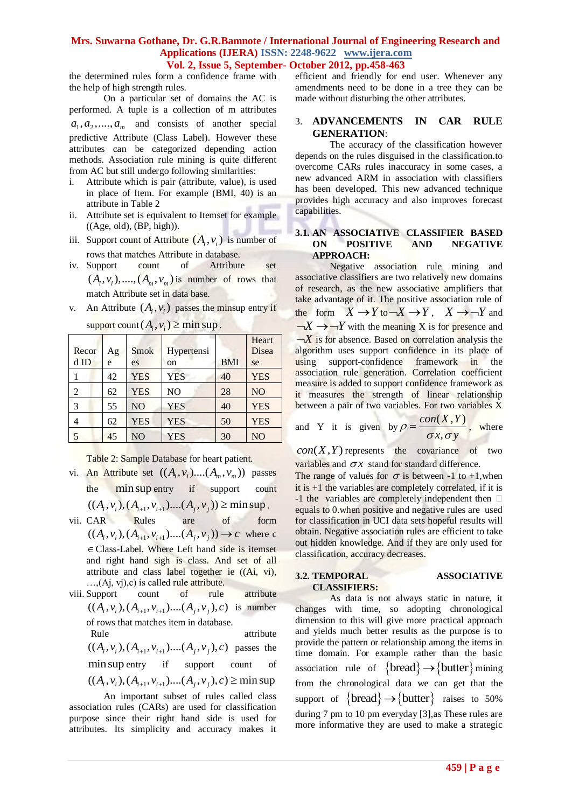the determined rules form a confidence frame with the help of high strength rules.

On a particular set of domains the AC is performed. A tuple is a collection of m attributes  $a_1, a_2, \ldots, a_m$  and consists of another special predictive Attribute (Class Label). However these attributes can be categorized depending action methods. Association rule mining is quite different from AC but still undergo following similarities:

- i. Attribute which is pair (attribute, value), is used in place of Item. For example (BMI, 40) is an attribute in Table 2
- ii. Attribute set is equivalent to Itemset for example ((Age, old), (BP, high)).
- iii. Support count of Attribute  $(A_i, v_i)$  is number of rows that matches Attribute in database.
- iv. Support count of Attribute set  $(A_i, v_i), \dots, (A_m, v_m)$  is number of rows that match Attribute set in data base.
- v. An Attribute  $(A_i, v_i)$  passes the minsup entry if

| Recor          |         | Smok           |                  |            | Heart<br>Disea |
|----------------|---------|----------------|------------------|------------|----------------|
| $d$ ID         | Ag<br>e | es             | Hypertensi<br>on | <b>BMI</b> | se             |
|                | 42      | <b>YES</b>     | <b>YES</b>       | 40         | <b>YES</b>     |
| $\overline{2}$ | 62      | <b>YES</b>     | N <sub>O</sub>   | 28         | N <sub>O</sub> |
| 3              | 55      | N <sub>O</sub> | <b>YES</b>       | 40         | <b>YES</b>     |
| 4              | 62      | <b>YES</b>     | <b>YES</b>       | 50         | <b>YES</b>     |
| 5              | 45      | N <sub>O</sub> | <b>YES</b>       | 30         | N <sub>O</sub> |

 $\text{support count}(A_i, v_i) \ge \min \text{sup}.$ 

Table 2: Sample Database for heart patient.

- vi. An Attribute set  $((A<sub>i</sub>, v<sub>i</sub>)....(A<sub>m</sub>, v<sub>m</sub>))$  passes the min sup entry if support count the min sup entry if support count<br>  $((A_i, v_i), (A_{i+1}, v_{i+1})....(A_j, v_j)) \ge \min \sup.$ <br>
CAR Rules are of form
- vii. CAR Rules are of form CAR Rules are of form<br> $((A_i, v_i), (A_{i+1}, v_{i+1})....(A_j, v_j)) \to c$  where c Class-Label. Where Left hand side is itemset and right hand sigh is class. And set of all attribute and class label together ie ((Ai, vi),  $...,$ (Aj, vj),c) is called rule attribute.
- viii. Support count of rule attribute Support count of rule attribute<br> $((A_i, v_i), (A_{i+1}, v_{i+1})....(A_j, v_j), c)$  is number of rows that matches item in database.
	- Rule attribute Rule attribute<br>  $((A_i, v_i), (A_{i+1}, v_{i+1})....(A_j, v_j), c)$  passes the minsup entry if support count of min sup entry if support count of<br> $((A_i, v_i), (A_{i+1}, v_{i+1})$ .... $(A_i, v_i), c) \ge \min \sup$

An important subset of rules called class association rules (CARs) are used for classification purpose since their right hand side is used for attributes. Its simplicity and accuracy makes it efficient and friendly for end user. Whenever any amendments need to be done in a tree they can be made without disturbing the other attributes.

# 3. **ADVANCEMENTS IN CAR RULE GENERATION**:

The accuracy of the classification however depends on the rules disguised in the classification.to overcome CARs rules inaccuracy in some cases, a new advanced ARM in association with classifiers has been developed. This new advanced technique provides high accuracy and also improves forecast capabilities.

### **3.1. AN ASSOCIATIVE CLASSIFIER BASED ON POSITIVE AND NEGATIVE APPROACH:**

Negative association rule mining and associative classifiers are two relatively new domains of research, as the new associative amplifiers that take advantage of it. The positive association rule of the form  $X \to Y$  to  $\to X \to Y$ ,  $X \to \to Y$  and  $\neg X \rightarrow \neg Y$  with the meaning X is for presence and  $-\overline{X}$  is for absence. Based on correlation analysis the algorithm uses support confidence in its place of using support-confidence framework in the association rule generation. Correlation coefficient measure is added to support confidence framework as it measures the strength of linear relationship between a pair of two variables. For two variables X

and Y it is given by  $\rho = \frac{con(X, Y)}{X}$ .<br>,  $con(X, Y)$  $ho = \frac{\sigma x}{\sigma x \sigma y}$  $=\frac{\text{const}(A, I)}{I}$ , where

 $con(X, Y)$  represents the covariance of two variables and  $\sigma x$  stand for standard difference.

The range of values for  $\sigma$  is between -1 to +1, when it is +1 the variables are completely correlated, if it is  $-1$  the variables are completely independent then  $\square$ equals to 0.when positive and negative rules are used for classification in UCI data sets hopeful results will obtain. Negative association rules are efficient to take out hidden knowledge. And if they are only used for classification, accuracy decreases.

#### **3.2. TEMPORAL ASSOCIATIVE CLASSIFIERS:**

As data is not always static in nature, it changes with time, so adopting chronological dimension to this will give more practical approach and yields much better results as the purpose is to provide the pattern or relationship among the items in time domain. For example rather than the basic association rule of  $\{bread\} \rightarrow \{ butter\}$  mining from the chronological data we can get that the support of  $\{break \rightarrow \{butter\}$  raises to 50% during 7 pm to 10 pm everyday [3],as These rules are more informative they are used to make a strategic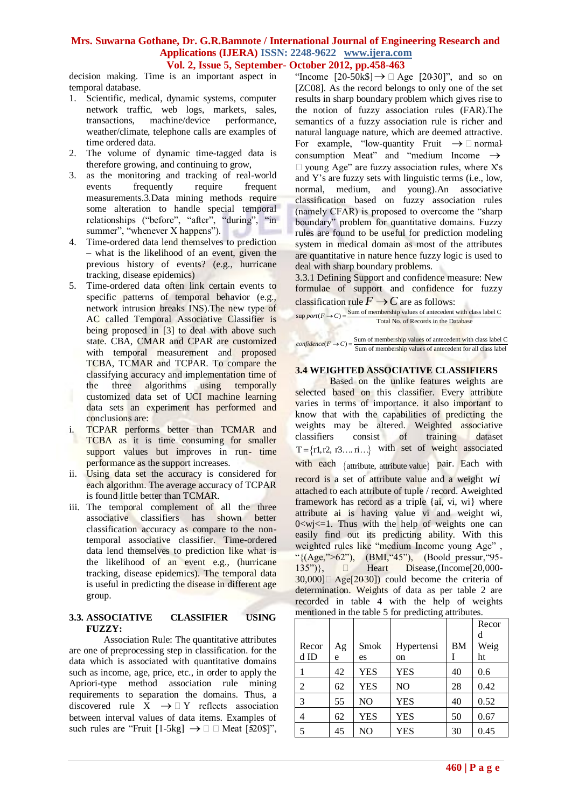decision making. Time is an important aspect in temporal database.

- 1. Scientific, medical, dynamic systems, computer network traffic, web logs, markets, sales, transactions, machine/device performance, weather/climate, telephone calls are examples of time ordered data.
- 2. The volume of dynamic time-tagged data is therefore growing, and continuing to grow,
- 3. as the monitoring and tracking of real-world events frequently require frequent measurements.3.Data mining methods require some alteration to handle special temporal relationships ("before", "after", "during", "in summer", "whenever X happens").
- 4. Time-ordered data lend themselves to prediction – what is the likelihood of an event, given the previous history of events? (e.g., hurricane tracking, disease epidemics)
- 5. Time-ordered data often link certain events to specific patterns of temporal behavior (e.g., network intrusion breaks INS).The new type of AC called Temporal Associative Classifier is being proposed in [3] to deal with above such state. CBA, CMAR and CPAR are customized with temporal measurement and proposed TCBA, TCMAR and TCPAR. To compare the classifying accuracy and implementation time of the three algorithms using temporally customized data set of UCI machine learning data sets an experiment has performed and conclusions are:
- TCPAR performs better than TCMAR and TCBA as it is time consuming for smaller support values but improves in run- time performance as the support increases.
- ii. Using data set the accuracy is considered for each algorithm. The average accuracy of TCPAR is found little better than TCMAR.
- iii. The temporal complement of all the three associative classifiers has shown better classification accuracy as compare to the nontemporal associative classifier. Time-ordered data lend themselves to prediction like what is the likelihood of an event e.g., (hurricane tracking, disease epidemics). The temporal data is useful in predicting the disease in different age group.

### **3.3. ASSOCIATIVE CLASSIFIER USING FUZZY:**

Association Rule: The quantitative attributes are one of preprocessing step in classification. for the data which is associated with quantitative domains such as income, age, price, etc., in order to apply the Apriori-type method association rule mining requirements to separation the domains. Thus, a discovered rule  $\overline{X} \rightarrow \Box Y$  reflects association between interval values of data items. Examples of such rules are "Fruit [1-5kg]  $\rightarrow \Box$  Meat [520\$]",

"Income  $[20-50k$ \$]  $\rightarrow \Box$  Age  $[2030]$ ", and so on [ZC08]. As the record belongs to only one of the set results in sharp boundary problem which gives rise to the notion of fuzzy association rules (FAR).The semantics of a fuzzy association rule is richer and natural language nature, which are deemed attractive. For example, "low-quantity Fruit  $\rightarrow \Box$  normalconsumption Meat" and "medium Income  $\rightarrow$  $\Box$  young Age" are fuzzy association rules, where X's and Y's are fuzzy sets with linguistic terms (i.e., low, normal, medium, and young).An associative classification based on fuzzy association rules (namely CFAR) is proposed to overcome the "sharp boundary" problem for quantitative domains. Fuzzy rules are found to be useful for prediction modeling system in medical domain as most of the attributes are quantitative in nature hence fuzzy logic is used to deal with sharp boundary problems.

3.3.1 Defining Support and confidence measure: New formulae of support and confidence for fuzzy classification rule  $F \rightarrow C$  are as follows:

**Example 18** Support and Confidence for fuzzy classification rule  $\vec{F} \rightarrow \vec{C}$  are as follows:<br> *sup port*  $(F \rightarrow C) = \frac{\text{Sum of membership values of antecedent with class label C}}{\text{Total No. of Records in the Database}}$ 

Total No. of Records in the Database<br>
confidence  $(F \to C) = \frac{\text{Sum of membership values of antecedent with class label C}}{\text{Sum of membership values of antecedent for all class label}}$ 

# **3.4 WEIGHTED ASSOCIATIVE CLASSIFIERS**

Based on the unlike features weights are selected based on this classifier. Every attribute varies in terms of importance. it also important to know that with the capabilities of predicting the weights may be altered. Weighted associative classifiers consist of training dataset  $T = \{r1, r2, r3, \dots r\}$  with set of weight associated with each {attribute, attribute value} pair. Each with record is a set of attribute value and a weight *wi* attached to each attribute of tuple / record. Aweighted framework has record as a triple {ai, vi, wi} where attribute ai is having value vi and weight wi,  $0 < w$ j $< = 1$ . Thus with the help of weights one can easily find out its predicting ability. With this weighted rules like "medium Income young Age" , "{(Age,">62"), (BMI, "45"), (Boold\_pressur, "95- $135"$ },  $\Box$  Heart Disease,(Income[20,000- $30,000$   $\Box$  Age  $[2030]$  could become the criteria of determination. Weights of data as per table 2 are recorded in table 4 with the help of weights mentioned in the table 5 for predicting attributes.

|       |    |                |               |           | Recor |
|-------|----|----------------|---------------|-----------|-------|
|       |    |                |               |           | d     |
| Recor | Ag | Smok           | Hypertensi    | <b>BM</b> | Weig  |
| d ID  | e  | es             | <sub>on</sub> |           | ht    |
|       | 42 | <b>YES</b>     | <b>YES</b>    | 40        | 0.6   |
| 2     | 62 | <b>YES</b>     | NO            | 28        | 0.42  |
| 3     | 55 | N <sub>O</sub> | <b>YES</b>    | 40        | 0.52  |
| 4     | 62 | <b>YES</b>     | <b>YES</b>    | 50        | 0.67  |
| 5     | 45 | N <sub>O</sub> | YES           | 30        | 0.45  |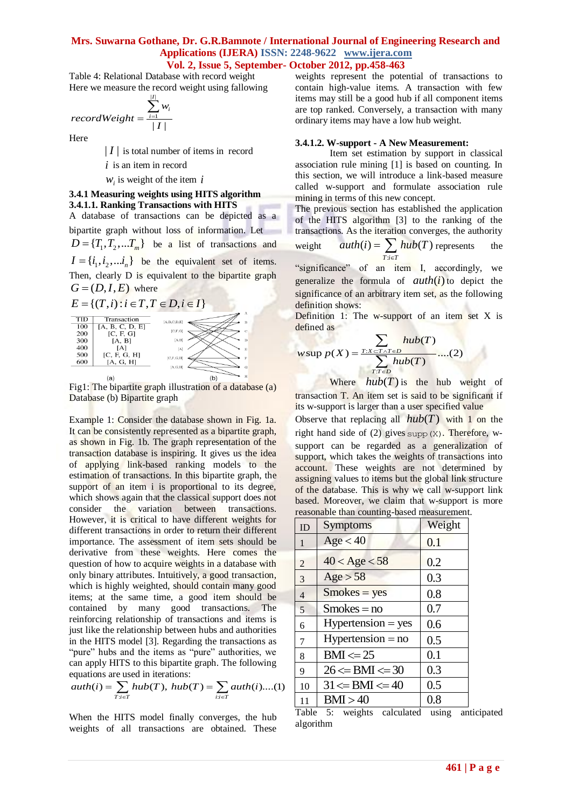Table 4: Relational Database with record weight Here we measure the record weight using fallowing

$$
recordWeight = \frac{\sum_{i=1}^{|I|} w_i}{|I|}
$$

Here

| *I* | is total number of items in record

 $i$  is an item in record

 $w_i$  is weight of the item  $i$ 

#### **3.4.1 Measuring weights using HITS algorithm 3.4.1.1. Ranking Transactions with HITS**

A database of transactions can be depicted as a bipartite graph without loss of information. Let - $D = \{T_1, T_2, \dots, T_m\}$  be a list of transactions and  $I = \{i_1, i_2, \dots, i_n\}$  be the equivalent set of items. Then, clearly D is equivalent to the bipartite graph  $G = (D, I, E)$  where

 $E = \{ (T, i) : i \in T, T \in D, i \in I \}$ 



Fig1: The bipartite graph illustration of a database (a) Database (b) Bipartite graph

Example 1: Consider the database shown in Fig. 1a. It can be consistently represented as a bipartite graph, as shown in Fig. 1b. The graph representation of the transaction database is inspiring. It gives us the idea of applying link-based ranking models to the estimation of transactions. In this bipartite graph, the support of an item i is proportional to its degree, which shows again that the classical support does not consider the variation between transactions. However, it is critical to have different weights for different transactions in order to return their different importance. The assessment of item sets should be derivative from these weights. Here comes the question of how to acquire weights in a database with only binary attributes. Intuitively, a good transaction, which is highly weighted, should contain many good items; at the same time, a good item should be contained by many good transactions. The reinforcing relationship of transactions and items is just like the relationship between hubs and authorities in the HITS model [3]. Regarding the transactions as "pure" hubs and the items as "pure" authorities, we can apply HITS to this bipartite graph. The following equations are used in iterations:<br> $auth(i) = \sum_{T:i \in T} hub(T), hub(T) = \sum_{i:i \in T}auth(i)...($ equations are used in iterations:

can apply HITS to this bipartite graph. The following equations are used in iterations:  
\n
$$
auth(i) = \sum_{T:i \in T} hub(T), hub(T) = \sum_{i:i \in T}auth(i)...(1)
$$

When the HITS model finally converges, the hub weights of all transactions are obtained. These

weights represent the potential of transactions to contain high-value items. A transaction with few items may still be a good hub if all component items are top ranked. Conversely, a transaction with many ordinary items may have a low hub weight.

#### **3.4.1.2. W-support - A New Measurement:**

Item set estimation by support in classical association rule mining [1] is based on counting. In this section, we will introduce a link-based measure called w-support and formulate association rule mining in terms of this new concept.

The previous section has established the application of the HITS algorithm [3] to the ranking of the transactions. As the iteration converges, the authority

weight 
$$
auth(i) = \sum_{T : i \in T} hub(T) \text{ represents the}
$$

"significance" of an item I, accordingly, we generalize the formula of  $auth(i)$  to depict the significance of an arbitrary item set, as the following definition shows:

Definition 1: The w-support of an item set  $X$  is defined as

defined as  
\n
$$
w \sup p(X) = \frac{\sum_{T:X \subset T \land T \in D} hub(T)}{\sum_{T:T \in D} hub(T)} ....(2)
$$

Where  $hub(T)$  is the hub weight of transaction T. An item set is said to be significant if its w-support is larger than a user specified value Observe that replacing all  $hub(T)$  with 1 on the right hand side of  $(2)$  gives supp $(X)$ . Therefore, wsupport can be regarded as a generalization of support, which takes the weights of transactions into account. These weights are not determined by assigning values to items but the global link structure of the database. This is why we call w-support link based. Moreover, we claim that w-support is more reasonable than counting-based measurement.

| ID             | <b>Symptoms</b>       | Weight  |
|----------------|-----------------------|---------|
| 1              | Age < 40              | 0.1     |
| 2              | $40 <$ Age $< 58$     | 0.2     |
| 3              | Age > 58              | 0.3     |
| $\overline{4}$ | $Smokes = yes$        | 0.8     |
| 5              | $Smokes = no$         | 0.7     |
| 6              | $Hypertension = yes$  | 0.6     |
| 7              | $Hypertension = no$   | 0.5     |
| 8              | $BM \leq 25$          | 0.1     |
| 9              | $26 \leq BMI \leq 30$ | 0.3     |
| 10             | $31 \leq BMI \leq 40$ | 0.5     |
| 11             | BMI > 40              | $0.8\,$ |

Table 5: weights calculated using anticipated algorithm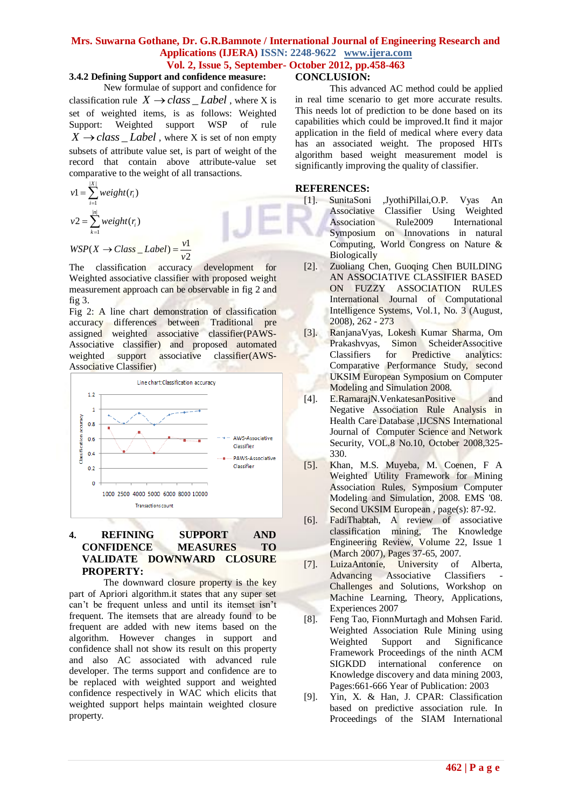# **3.4.2 Defining Support and confidence measure:**

New formulae of support and confidence for classification rule  $X \rightarrow class \_Label$ , where X is set of weighted items, is as follows: Weighted Support: Weighted support WSP of rule  $X \rightarrow class$  *Label* , where X is set of non empty subsets of attribute value set, is part of weight of the record that contain above attribute-value set comparative to the weight of all transactions.

$$
v1 = \sum_{i=1}^{|X|} weight(r_i)
$$
  

$$
v2 = \sum_{k=1}^{|n|} weight(r_i)
$$
  

$$
WSP(X \rightarrow Class\_Label) = \frac{v1}{v2}
$$

The classification accuracy development for Weighted associative classifier with proposed weight measurement approach can be observable in fig 2 and fig 3.

1

Fig 2: A line chart demonstration of classification accuracy differences between Traditional pre assigned weighted associative classifier(PAWS-Associative classifier) and proposed automated<br>weighted support associative classifier(AWSweighted support associative classifier(AWS-Associative Classifier)



# **4. REFINING SUPPORT AND CONFIDENCE MEASURES TO VALIDATE DOWNWARD CLOSURE PROPERTY:**

The downward closure property is the key part of Apriori algorithm.it states that any super set can't be frequent unless and until its itemset isn't frequent. The itemsets that are already found to be frequent are added with new items based on the algorithm. However changes in support and confidence shall not show its result on this property and also AC associated with advanced rule developer. The terms support and confidence are to be replaced with weighted support and weighted confidence respectively in WAC which elicits that weighted support helps maintain weighted closure property.

### **CONCLUSION:**

This advanced AC method could be applied in real time scenario to get more accurate results. This needs lot of prediction to be done based on its capabilities which could be improved.It find it major application in the field of medical where every data has an associated weight. The proposed HITs algorithm based weight measurement model is significantly improving the quality of classifier.

### **REFERENCES:**

- [1]. SunitaSoni ,JyothiPillai,O.P. Vyas An Associative Classifier Using Weighted Association Rule2009 International Symposium on Innovations in natural Computing, World Congress on Nature & **Biologically**
- [2]. Zuoliang Chen, Guoqing Chen BUILDING AN ASSOCIATIVE CLASSIFIER BASED ON FUZZY ASSOCIATION RULES International Journal of Computational Intelligence Systems, Vol.1, No. 3 (August, 2008), 262 - 273
- [3]. RanjanaVyas, Lokesh Kumar Sharma, Om Prakashvyas, Simon ScheiderAssocitive Classifiers for Predictive analytics: Comparative Performance Study, second UKSIM European Symposium on Computer Modeling and Simulation 2008.
- [4]. E.RamarajN.VenkatesanPositive and Negative Association Rule Analysis in Health Care Database ,IJCSNS International Journal of Computer Science and Network Security, VOL.8 No.10, October 2008,325- 330.
- [5]. Khan, M.S. Muyeba, M. Coenen, F A Weighted Utility Framework for Mining Association Rules, Symposium Computer Modeling and Simulation, 2008. EMS '08. Second UKSIM European, page(s): 87-92.
- [6]. FadiThabtah, A review of associative classification mining, The Knowledge Engineering Review, Volume 22, Issue 1 (March 2007), Pages 37-65, 2007.
- [7]. LuizaAntonie, University of Alberta, Advancing Associative Classifiers Challenges and Solutions, Workshop on Machine Learning, Theory, Applications, Experiences 2007
- [8]. Feng Tao, FionnMurtagh and Mohsen Farid. Weighted Association Rule Mining using Weighted Support and Significance Framework Proceedings of the ninth ACM SIGKDD international conference on Knowledge discovery and data mining 2003, Pages:661-666 Year of Publication: 2003
- [9]. Yin, X. & Han, J. CPAR: Classification based on predictive association rule. In Proceedings of the SIAM International